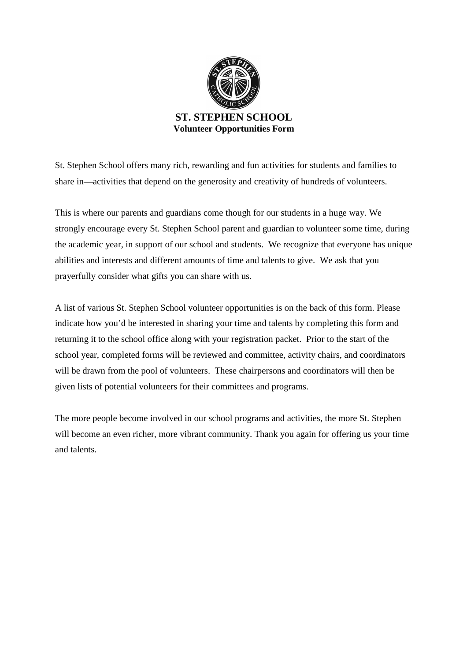

St. Stephen School offers many rich, rewarding and fun activities for students and families to share in—activities that depend on the generosity and creativity of hundreds of volunteers.

This is where our parents and guardians come though for our students in a huge way. We strongly encourage every St. Stephen School parent and guardian to volunteer some time, during the academic year, in support of our school and students. We recognize that everyone has unique abilities and interests and different amounts of time and talents to give. We ask that you prayerfully consider what gifts you can share with us.

A list of various St. Stephen School volunteer opportunities is on the back of this form. Please indicate how you'd be interested in sharing your time and talents by completing this form and returning it to the school office along with your registration packet. Prior to the start of the school year, completed forms will be reviewed and committee, activity chairs, and coordinators will be drawn from the pool of volunteers. These chairpersons and coordinators will then be given lists of potential volunteers for their committees and programs.

The more people become involved in our school programs and activities, the more St. Stephen will become an even richer, more vibrant community. Thank you again for offering us your time and talents.